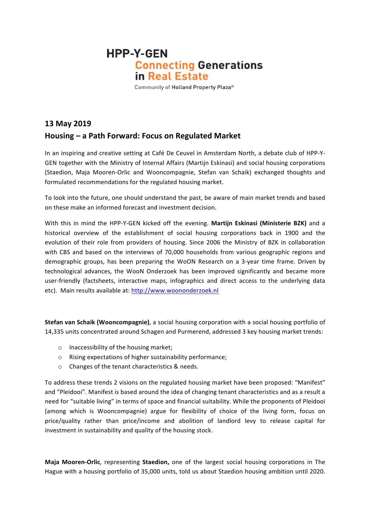## **HPP-Y-GEN Connecting Generations** in Real Estate

Community of Holland Property Plaza®

## **13 May 2019 Housing – a Path Forward: Focus on Regulated Market**

In an inspiring and creative setting at Café De Ceuvel in Amsterdam North, a debate club of HPP-Y-GEN together with the Ministry of Internal Affairs (Martijn Eskinasi) and social housing corporations (Staedion, Maja Mooren-Orlic and Wooncompagnie, Stefan van Schaik) exchanged thoughts and formulated recommendations for the regulated housing market.

To look into the future, one should understand the past, be aware of main market trends and based on these make an informed forecast and investment decision.

With this in mind the HPP-Y-GEN kicked off the evening. Martijn Eskinasi (Ministerie BZK) and a historical overview of the establishment of social housing corporations back in 1900 and the evolution of their role from providers of housing. Since 2006 the Ministry of BZK in collaboration with CBS and based on the interviews of 70,000 households from various geographic regions and demographic groups, has been preparing the WoON Research on a 3-year time frame. Driven by technological advances, the WooN Onderzoek has been improved significantly and became more user-friendly (factsheets, interactive maps, infographics and direct access to the underlying data etc). Main results available at: http://www.woononderzoek.nl

**Stefan van Schaik (Wooncompagnie)**, a social housing corporation with a social housing portfolio of 14,335 units concentrated around Schagen and Purmerend, addressed 3 key housing market trends:

- $\circ$  Inaccessibility of the housing market;
- $\circ$  Rising expectations of higher sustainability performance;
- $\circ$  Changes of the tenant characteristics & needs.

To address these trends 2 visions on the regulated housing market have been proposed: "Manifest" and "Pleidooi". Manifest is based around the idea of changing tenant characteristics and as a result a need for "suitable living" in terms of space and financial suitability. While the proponents of Pleidooi (among which is Wooncompagnie) argue for flexibility of choice of the living form, focus on price/quality rather than price/income and abolition of landlord levy to release capital for investment in sustainability and quality of the housing stock.

**Maja Mooren-Orlic**, representing **Staedion**, one of the largest social housing corporations in The Hague with a housing portfolio of 35,000 units, told us about Staedion housing ambition until 2020.